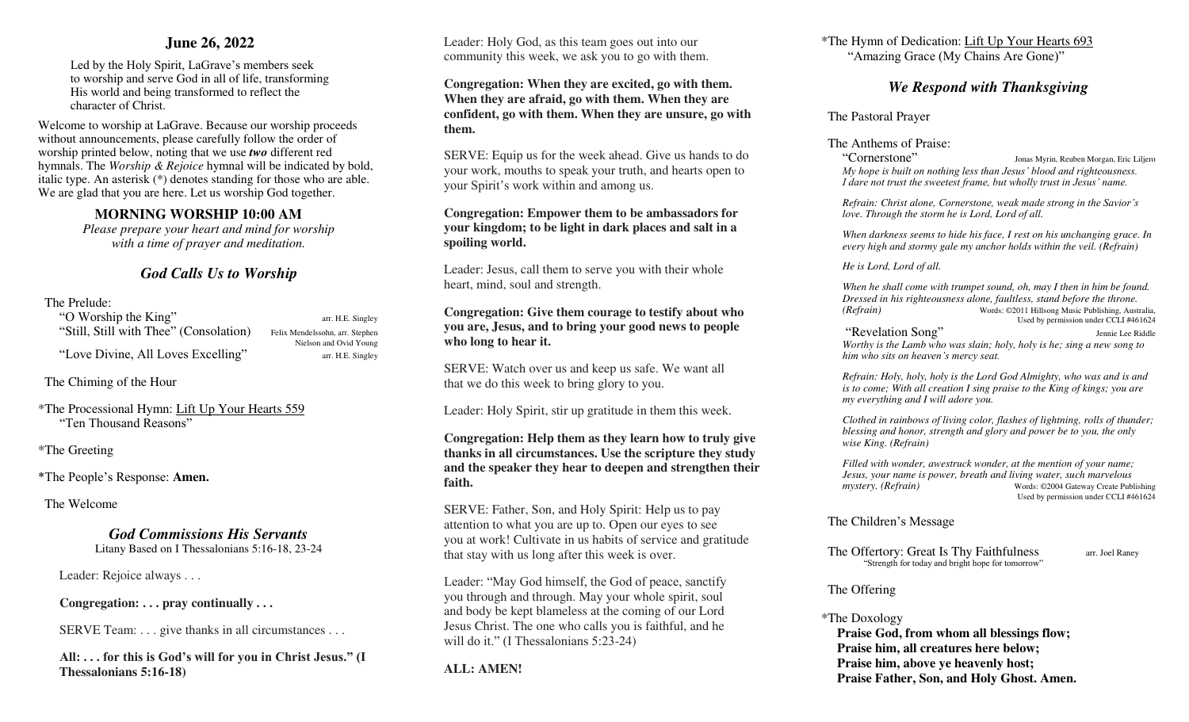### **June 26, 2022**

Led by the Holy Spirit, LaGrave's members seek to worship and serve God in all of life, transforming His world and being transformed to reflect the character of Christ.

Welcome to worship at LaGrave. Because our worship proceeds without announcements, please carefully follow the order of worship printed below, noting that we use *two* different red hymnals. The *Worship & Rejoice* hymnal will be indicated by bold, italic type. An asterisk (\*) denotes standing for those who are able. We are glad that you are here. Let us worship God together.

### **MORNING WORSHIP 10:00 AM**

*Please prepare your heart and mind for worship with a time of prayer and meditation.* 

# *God Calls Us to Worship*

### The Prelude:

"O Worship the King" arr. H.E. Singley "Still, Still with Thee" (Consolation) Felix Mendelssohn, arr. Stephen Nielson and Ovid Young "Love Divine, All Loves Excelling" arr. H.E. Singley

The Chiming of the Hour

\*The Processional Hymn: Lift Up Your Hearts 559 "Ten Thousand Reasons"

\*The Greeting

\*The People's Response: **Amen.**

The Welcome

*God Commissions His Servants*  Litany Based on I Thessalonians 5:16-18, 23-24

Leader: Rejoice always . . .

**Congregation: . . . pray continually . . .** 

SERVE Team: . . . give thanks in all circumstances . . .

**All: . . . for this is God's will for you in Christ Jesus." (I Thessalonians 5:16-18)** 

 Leader: Holy God, as this team goes out into our community this week, we ask you to go with them.

**Congregation: When they are excited, go with them. When they are afraid, go with them. When they are confident, go with them. When they are unsure, go with them.** 

 SERVE: Equip us for the week ahead. Give us hands to do your work, mouths to speak your truth, and hearts open to your Spirit's work within and among us.

### **Congregation: Empower them to be ambassadors for your kingdom; to be light in dark places and salt in a spoiling world.**

 Leader: Jesus, call them to serve you with their whole heart, mind, soul and strength.

**Congregation: Give them courage to testify about who you are, Jesus, and to bring your good news to people who long to hear it.** 

 SERVE: Watch over us and keep us safe. We want all that we do this week to bring glory to you.

Leader: Holy Spirit, stir up gratitude in them this week.

### **Congregation: Help them as they learn how to truly give thanks in all circumstances. Use the scripture they study and the speaker they hear to deepen and strengthen their faith.**

 SERVE: Father, Son, and Holy Spirit: Help us to pay attention to what you are up to. Open our eyes to see you at work! Cultivate in us habits of service and gratitude that stay with us long after this week is over.

Leader: "May God himself, the God of peace, sanctify you through and through. May your whole spirit, soul and body be kept blameless at the coming of our Lord Jesus Christ. The one who calls you is faithful, and he will do it." (I Thessalonians 5:23-24)

**ALL: AMEN!** 

\*The Hymn of Dedication: Lift Up Your Hearts 693 "Amazing Grace (My Chains Are Gone)"

# *We Respond with Thanksgiving*

The Pastoral Prayer

The Anthems of Praise:

"Cornerstone" Jonas Myrin, Reuben Morgan, Eric Liljero *My hope is built on nothing less than Jesus' blood and righteousness. I dare not trust the sweetest frame, but wholly trust in Jesus' name.*

 *Refrain: Christ alone, Cornerstone, weak made strong in the Savior's love. Through the storm he is Lord, Lord of all.* 

 *When darkness seems to hide his face, I rest on his unchanging grace. In every high and stormy gale my anchor holds within the veil. (Refrain)* 

 *He is Lord, Lord of all.* 

 *When he shall come with trumpet sound, oh, may I then in him be found. Dressed in his righteousness alone, faultless, stand before the throne. (Refrain)* Words: ©2011 Hillsong Music Publishing, Australia, Used by permission under CCLI #461624

"Revelation Song" Jennie Lee Riddle  *Worthy is the Lamb who was slain; holy, holy is he; sing a new song to him who sits on heaven's mercy seat.*

 *Refrain: Holy, holy, holy is the Lord God Almighty, who was and is and is to come; With all creation I sing praise to the King of kings; you are my everything and I will adore you.* 

 *Clothed in rainbows of living color, flashes of lightning, rolls of thunder; blessing and honor, strength and glory and power be to you, the only wise King. (Refrain)* 

 *Filled with wonder, awestruck wonder, at the mention of your name; Jesus, your name is power, breath and living water, such marvelous mystery. (Refrain)* Words: ©2004 Gateway Create Publishing Used by permission under CCLI #461624

### The Children's Message

The Offertory: Great Is Thy Faithfulness arr. Joel Raney "Strength for today and bright hope for tomorrow"

The Offering

# \*The Doxology

**Praise God, from whom all blessings flow; Praise him, all creatures here below; Praise him, above ye heavenly host; Praise Father, Son, and Holy Ghost. Amen.**